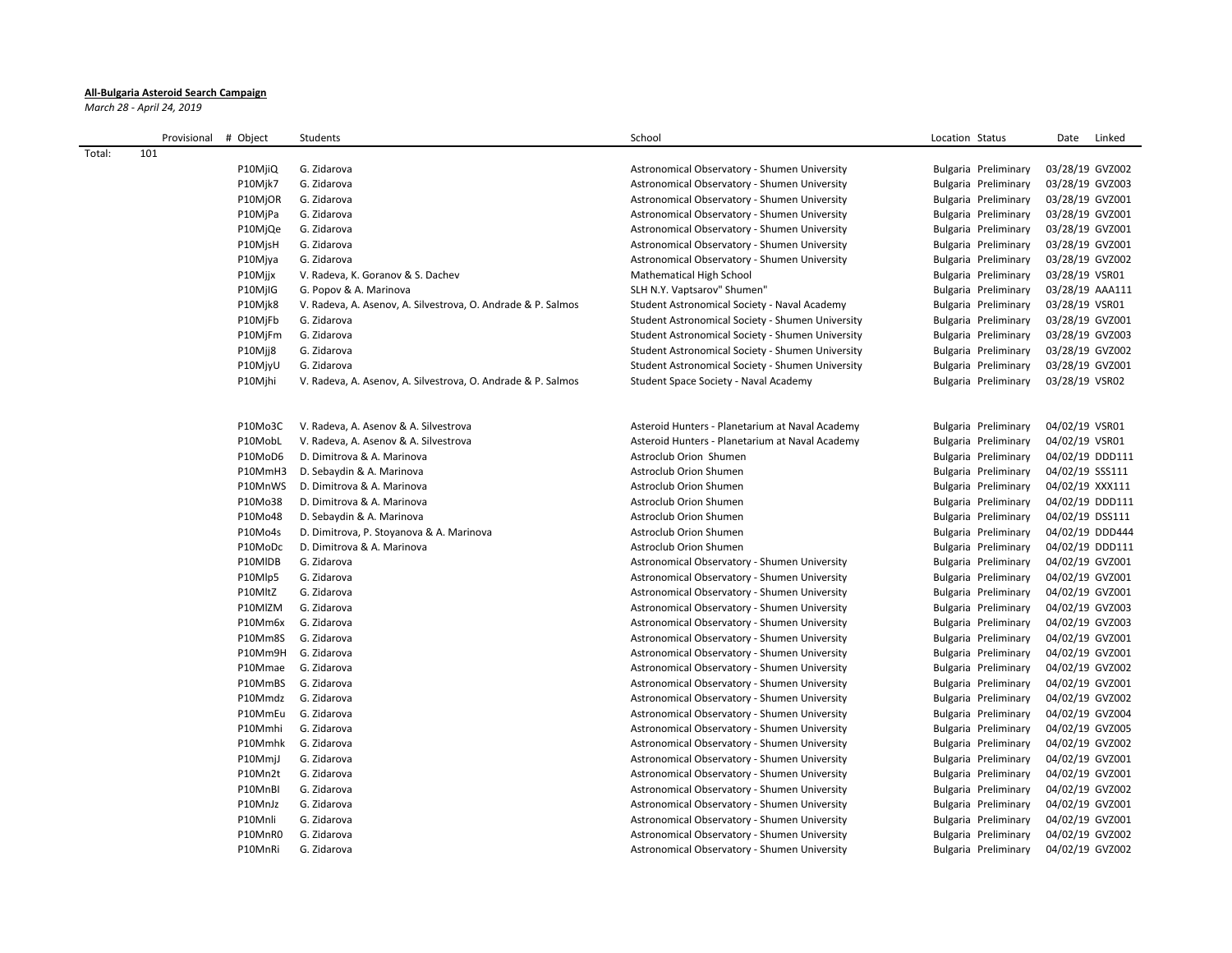## **All-Bulgaria Asteroid Search Campaign**

*March 28 - April 24, 2019*

|        | Provisional | # Object           | Students                                                     | School                                                                                       | Location Status                              | Date<br>Linked  |
|--------|-------------|--------------------|--------------------------------------------------------------|----------------------------------------------------------------------------------------------|----------------------------------------------|-----------------|
| Total: | 101         |                    |                                                              |                                                                                              |                                              |                 |
|        |             | P10MjiQ            | G. Zidarova                                                  | Astronomical Observatory - Shumen University                                                 | Bulgaria Preliminary                         | 03/28/19 GVZ002 |
|        |             | P10Mjk7            | G. Zidarova                                                  | Astronomical Observatory - Shumen University                                                 | Bulgaria Preliminary                         | 03/28/19 GVZ003 |
|        |             | P10MjOR            | G. Zidarova                                                  | Astronomical Observatory - Shumen University                                                 | Bulgaria Preliminary                         | 03/28/19 GVZ001 |
|        |             | P10MjPa            | G. Zidarova                                                  | Astronomical Observatory - Shumen University                                                 | Bulgaria Preliminary                         | 03/28/19 GVZ001 |
|        |             | P10MjQe            | G. Zidarova                                                  | Astronomical Observatory - Shumen University                                                 | Bulgaria Preliminary                         | 03/28/19 GVZ001 |
|        |             | P10MjsH            | G. Zidarova                                                  | Astronomical Observatory - Shumen University                                                 | Bulgaria Preliminary                         | 03/28/19 GVZ001 |
|        |             | P10Mjya            | G. Zidarova                                                  | Astronomical Observatory - Shumen University                                                 | Bulgaria Preliminary                         | 03/28/19 GVZ002 |
|        |             | P10Mjjx            | V. Radeva, K. Goranov & S. Dachev                            | Mathematical High School                                                                     | Bulgaria Preliminary                         | 03/28/19 VSR01  |
|        |             | P10MjIG            | G. Popov & A. Marinova                                       | SLH N.Y. Vaptsarov" Shumen"                                                                  | Bulgaria Preliminary                         | 03/28/19 AAA111 |
|        |             | P10Mjk8            | V. Radeva, A. Asenov, A. Silvestrova, O. Andrade & P. Salmos | Student Astronomical Society - Naval Academy                                                 | Bulgaria Preliminary                         | 03/28/19 VSR01  |
|        |             | P10MjFb            | G. Zidarova                                                  | Student Astronomical Society - Shumen University                                             | Bulgaria Preliminary                         | 03/28/19 GVZ001 |
|        |             | P10MjFm            | G. Zidarova                                                  | Student Astronomical Society - Shumen University                                             | Bulgaria Preliminary                         | 03/28/19 GVZ003 |
|        |             | P10Mjj8            | G. Zidarova                                                  | Student Astronomical Society - Shumen University                                             | Bulgaria Preliminary                         | 03/28/19 GVZ002 |
|        |             | P10MjyU            | G. Zidarova                                                  | Student Astronomical Society - Shumen University                                             | Bulgaria Preliminary                         | 03/28/19 GVZ001 |
|        |             | P10Mjhi            | V. Radeva, A. Asenov, A. Silvestrova, O. Andrade & P. Salmos | Student Space Society - Naval Academy                                                        | Bulgaria Preliminary                         | 03/28/19 VSR02  |
|        |             |                    |                                                              |                                                                                              |                                              |                 |
|        |             | P10Mo3C            | V. Radeva, A. Asenov & A. Silvestrova                        | Asteroid Hunters - Planetarium at Naval Academy                                              | Bulgaria Preliminary                         | 04/02/19 VSR01  |
|        |             | P10MobL            | V. Radeva, A. Asenov & A. Silvestrova                        | Asteroid Hunters - Planetarium at Naval Academy                                              | Bulgaria Preliminary                         | 04/02/19 VSR01  |
|        |             | P10MoD6            | D. Dimitrova & A. Marinova                                   | Astroclub Orion Shumen                                                                       | Bulgaria Preliminary                         | 04/02/19 DDD111 |
|        |             | P10MmH3            | D. Sebaydin & A. Marinova                                    | Astroclub Orion Shumen                                                                       | Bulgaria Preliminary                         | 04/02/19 SSS111 |
|        |             | P10MnWS            | D. Dimitrova & A. Marinova                                   | Astroclub Orion Shumen                                                                       | Bulgaria Preliminary                         | 04/02/19 XXX111 |
|        |             | P10Mo38            | D. Dimitrova & A. Marinova                                   | Astroclub Orion Shumen                                                                       | Bulgaria Preliminary                         | 04/02/19 DDD111 |
|        |             | P10Mo48            | D. Sebaydin & A. Marinova                                    | Astroclub Orion Shumen                                                                       | Bulgaria Preliminary                         | 04/02/19 DSS111 |
|        |             | P10Mo4s            | D. Dimitrova, P. Stoyanova & A. Marinova                     | Astroclub Orion Shumen                                                                       | Bulgaria Preliminary                         | 04/02/19 DDD444 |
|        |             | P10MoDc            | D. Dimitrova & A. Marinova                                   | Astroclub Orion Shumen                                                                       | Bulgaria Preliminary                         | 04/02/19 DDD111 |
|        |             | P10MIDB            | G. Zidarova                                                  | Astronomical Observatory - Shumen University                                                 | Bulgaria Preliminary                         | 04/02/19 GVZ001 |
|        |             | P10Mlp5            | G. Zidarova                                                  | Astronomical Observatory - Shumen University                                                 | Bulgaria Preliminary                         | 04/02/19 GVZ001 |
|        |             | P10MltZ            | G. Zidarova                                                  | Astronomical Observatory - Shumen University                                                 | Bulgaria Preliminary                         | 04/02/19 GVZ001 |
|        |             | P10MlZM            | G. Zidarova                                                  | Astronomical Observatory - Shumen University                                                 |                                              | 04/02/19 GVZ003 |
|        |             | P10Mm6x            | G. Zidarova                                                  |                                                                                              | Bulgaria Preliminary                         | 04/02/19 GVZ003 |
|        |             | P10Mm8S            | G. Zidarova                                                  | Astronomical Observatory - Shumen University<br>Astronomical Observatory - Shumen University | Bulgaria Preliminary<br>Bulgaria Preliminary | 04/02/19 GVZ001 |
|        |             | P10Mm9H            | G. Zidarova                                                  | Astronomical Observatory - Shumen University                                                 | Bulgaria Preliminary                         | 04/02/19 GVZ001 |
|        |             | P10Mmae            | G. Zidarova                                                  |                                                                                              |                                              |                 |
|        |             |                    |                                                              | Astronomical Observatory - Shumen University                                                 | Bulgaria Preliminary                         | 04/02/19 GVZ002 |
|        |             | P10MmBS<br>P10Mmdz | G. Zidarova<br>G. Zidarova                                   | Astronomical Observatory - Shumen University                                                 | Bulgaria Preliminary                         | 04/02/19 GVZ001 |
|        |             |                    |                                                              | Astronomical Observatory - Shumen University                                                 | Bulgaria Preliminary                         | 04/02/19 GVZ002 |
|        |             | P10MmEu            | G. Zidarova                                                  | Astronomical Observatory - Shumen University                                                 | Bulgaria Preliminary                         | 04/02/19 GVZ004 |
|        |             | P10Mmhi            | G. Zidarova                                                  | Astronomical Observatory - Shumen University                                                 | Bulgaria Preliminary                         | 04/02/19 GVZ005 |
|        |             | P10Mmhk            | G. Zidarova                                                  | Astronomical Observatory - Shumen University                                                 | Bulgaria Preliminary                         | 04/02/19 GVZ002 |
|        |             | P10MmjJ            | G. Zidarova                                                  | Astronomical Observatory - Shumen University                                                 | Bulgaria Preliminary                         | 04/02/19 GVZ001 |
|        |             | P10Mn2t            | G. Zidarova                                                  | Astronomical Observatory - Shumen University                                                 | Bulgaria Preliminary                         | 04/02/19 GVZ001 |
|        |             | P10MnBI            | G. Zidarova                                                  | Astronomical Observatory - Shumen University                                                 | Bulgaria Preliminary                         | 04/02/19 GVZ002 |
|        |             | P10MnJz            | G. Zidarova                                                  | Astronomical Observatory - Shumen University                                                 | Bulgaria Preliminary                         | 04/02/19 GVZ001 |
|        |             | P10Mnli            | G. Zidarova                                                  | Astronomical Observatory - Shumen University                                                 | Bulgaria Preliminary                         | 04/02/19 GVZ001 |
|        |             | P10MnR0            | G. Zidarova                                                  | Astronomical Observatory - Shumen University                                                 | Bulgaria Preliminary                         | 04/02/19 GVZ002 |
|        |             | P10MnRi            | G. Zidarova                                                  | Astronomical Observatory - Shumen University                                                 | Bulgaria Preliminary                         | 04/02/19 GVZ002 |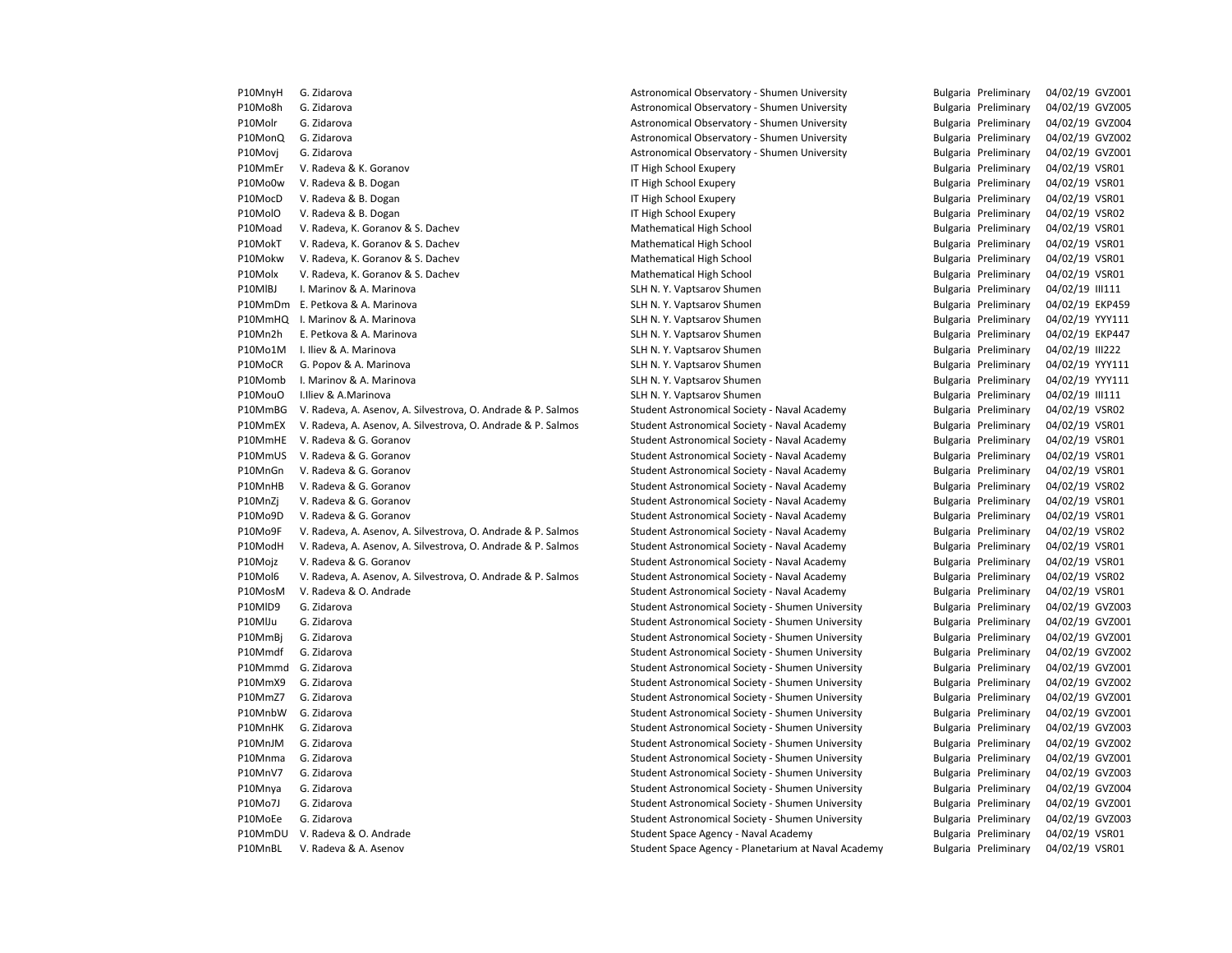| <b>FIUIVIII YN</b> | <b>G.</b> <i>L</i> iudivid                                   | AStronomical Observatory - Shumen Oniversity        | puigana riemmialy    | $U4/UZ/15$ GVZUU |
|--------------------|--------------------------------------------------------------|-----------------------------------------------------|----------------------|------------------|
| P10Mo8h            | G. Zidarova                                                  | Astronomical Observatory - Shumen University        | Bulgaria Preliminary | 04/02/19 GVZ00   |
| P10Molr            | G. Zidarova                                                  | Astronomical Observatory - Shumen University        | Bulgaria Preliminary | 04/02/19 GVZ00   |
| P10MonQ            | G. Zidarova                                                  | Astronomical Observatory - Shumen University        | Bulgaria Preliminary | 04/02/19 GVZ00   |
| P10Movj            | G. Zidarova                                                  | Astronomical Observatory - Shumen University        | Bulgaria Preliminary | 04/02/19 GVZ00   |
| P10MmEr            | V. Radeva & K. Goranov                                       | IT High School Exupery                              | Bulgaria Preliminary | 04/02/19 VSR01   |
| P10Mo0w            | V. Radeva & B. Dogan                                         | IT High School Exupery                              | Bulgaria Preliminary | 04/02/19 VSR01   |
| P10MocD            | V. Radeva & B. Dogan                                         | IT High School Exupery                              | Bulgaria Preliminary | 04/02/19 VSR01   |
| P10MolO            | V. Radeva & B. Dogan                                         | IT High School Exupery                              | Bulgaria Preliminary | 04/02/19 VSR02   |
| P10Moad            | V. Radeva, K. Goranov & S. Dachev                            | Mathematical High School                            | Bulgaria Preliminary | 04/02/19 VSR01   |
| P10MokT            | V. Radeva, K. Goranov & S. Dachev                            | Mathematical High School                            | Bulgaria Preliminary | 04/02/19 VSR01   |
| P10Mokw            | V. Radeva, K. Goranov & S. Dachev                            | Mathematical High School                            | Bulgaria Preliminary | 04/02/19 VSR01   |
| P10Molx            | V. Radeva, K. Goranov & S. Dachev                            | Mathematical High School                            | Bulgaria Preliminary | 04/02/19 VSR01   |
| P10MIBJ            | I. Marinov & A. Marinova                                     | SLH N. Y. Vaptsarov Shumen                          | Bulgaria Preliminary | 04/02/19 III111  |
|                    | P10MmDm E. Petkova & A. Marinova                             | SLH N. Y. Vaptsarov Shumen                          | Bulgaria Preliminary | 04/02/19 EKP45   |
| P10MmHQ            | I. Marinov & A. Marinova                                     | SLH N. Y. Vaptsarov Shumen                          | Bulgaria Preliminary | 04/02/19 YYY111  |
| P10Mn2h            | E. Petkova & A. Marinova                                     | SLH N. Y. Vaptsarov Shumen                          | Bulgaria Preliminary | 04/02/19 EKP441  |
| P10Mo1M            | I. Iliev & A. Marinova                                       | SLH N. Y. Vaptsarov Shumen                          | Bulgaria Preliminary | 04/02/19 III222  |
| P10MoCR            | G. Popov & A. Marinova                                       | SLH N. Y. Vaptsarov Shumen                          | Bulgaria Preliminary | 04/02/19 YYY111  |
| P10Momb            | I. Marinov & A. Marinova                                     | SLH N. Y. Vaptsarov Shumen                          | Bulgaria Preliminary | 04/02/19 YYY111  |
| P10MouO            | I.Iliev & A.Marinova                                         | SLH N. Y. Vaptsarov Shumen                          | Bulgaria Preliminary | 04/02/19 III111  |
| P10MmBG            | V. Radeva, A. Asenov, A. Silvestrova, O. Andrade & P. Salmos | Student Astronomical Society - Naval Academy        | Bulgaria Preliminary | 04/02/19 VSR02   |
| P10MmEX            | V. Radeva, A. Asenov, A. Silvestrova, O. Andrade & P. Salmos | Student Astronomical Society - Naval Academy        | Bulgaria Preliminary | 04/02/19 VSR01   |
| P10MmHE            | V. Radeva & G. Goranov                                       | Student Astronomical Society - Naval Academy        | Bulgaria Preliminary | 04/02/19 VSR01   |
| P10MmUS            | V. Radeva & G. Goranov                                       | Student Astronomical Society - Naval Academy        | Bulgaria Preliminary | 04/02/19 VSR01   |
| P10MnGn            | V. Radeva & G. Goranov                                       | Student Astronomical Society - Naval Academy        | Bulgaria Preliminary | 04/02/19 VSR01   |
| P10MnHB            | V. Radeva & G. Goranov                                       | Student Astronomical Society - Naval Academy        | Bulgaria Preliminary | 04/02/19 VSR02   |
| P10MnZj            | V. Radeva & G. Goranov                                       | Student Astronomical Society - Naval Academy        | Bulgaria Preliminary | 04/02/19 VSR01   |
| P10Mo9D            | V. Radeva & G. Goranov                                       | Student Astronomical Society - Naval Academy        | Bulgaria Preliminary | 04/02/19 VSR01   |
| P10Mo9F            | V. Radeva, A. Asenov, A. Silvestrova, O. Andrade & P. Salmos | Student Astronomical Society - Naval Academy        | Bulgaria Preliminary | 04/02/19 VSR02   |
| P10ModH            | V. Radeva, A. Asenov, A. Silvestrova, O. Andrade & P. Salmos | Student Astronomical Society - Naval Academy        | Bulgaria Preliminary | 04/02/19 VSR01   |
| P10Mojz            | V. Radeva & G. Goranov                                       | Student Astronomical Society - Naval Academy        | Bulgaria Preliminary | 04/02/19 VSR01   |
| P10Mol6            | V. Radeva, A. Asenov, A. Silvestrova, O. Andrade & P. Salmos | Student Astronomical Society - Naval Academy        | Bulgaria Preliminary | 04/02/19 VSR02   |
| P10MosM            | V. Radeva & O. Andrade                                       | Student Astronomical Society - Naval Academy        | Bulgaria Preliminary | 04/02/19 VSR01   |
| P10MID9            | G. Zidarova                                                  | Student Astronomical Society - Shumen University    | Bulgaria Preliminary | 04/02/19 GVZ00   |
| P10MlJu            | G. Zidarova                                                  | Student Astronomical Society - Shumen University    | Bulgaria Preliminary | 04/02/19 GVZ00   |
| P10MmBj            | G. Zidarova                                                  | Student Astronomical Society - Shumen University    | Bulgaria Preliminary | 04/02/19 GVZ00   |
| P10Mmdf            | G. Zidarova                                                  | Student Astronomical Society - Shumen University    | Bulgaria Preliminary | 04/02/19 GVZ00   |
| P10Mmmd            | G. Zidarova                                                  | Student Astronomical Society - Shumen University    | Bulgaria Preliminary | 04/02/19 GVZ00   |
| P10MmX9            | G. Zidarova                                                  | Student Astronomical Society - Shumen University    | Bulgaria Preliminary | 04/02/19 GVZ00   |
| P10MmZ7            | G. Zidarova                                                  | Student Astronomical Society - Shumen University    | Bulgaria Preliminary | 04/02/19 GVZ00   |
| P10MnbW            | G. Zidarova                                                  | Student Astronomical Society - Shumen University    | Bulgaria Preliminary | 04/02/19 GVZ00   |
| P10MnHK            | G. Zidarova                                                  | Student Astronomical Society - Shumen University    | Bulgaria Preliminary | 04/02/19 GVZ00   |
| P10MnJM            | G. Zidarova                                                  | Student Astronomical Society - Shumen University    | Bulgaria Preliminary | 04/02/19 GVZ00   |
| P10Mnma            | G. Zidarova                                                  | Student Astronomical Society - Shumen University    | Bulgaria Preliminary | 04/02/19 GVZ00   |
|                    |                                                              |                                                     |                      |                  |
| P10MnV7            | G. Zidarova                                                  | Student Astronomical Society - Shumen University    | Bulgaria Preliminary | 04/02/19 GVZ00   |
| P10Mnya            | G. Zidarova                                                  | Student Astronomical Society - Shumen University    | Bulgaria Preliminary | 04/02/19 GVZ00   |
| P10Mo7J            | G. Zidarova                                                  | Student Astronomical Society - Shumen University    | Bulgaria Preliminary | 04/02/19 GVZ00   |
| P10MoEe            | G. Zidarova                                                  | Student Astronomical Society - Shumen University    | Bulgaria Preliminary | 04/02/19 GVZ00   |
| P10MmDU            | V. Radeva & O. Andrade                                       | Student Space Agency - Naval Academy                | Bulgaria Preliminary | 04/02/19 VSR01   |
| P10MnBL            | V. Radeva & A. Asenov                                        | Student Space Agency - Planetarium at Naval Academy | Bulgaria Preliminary | 04/02/19 VSR01   |